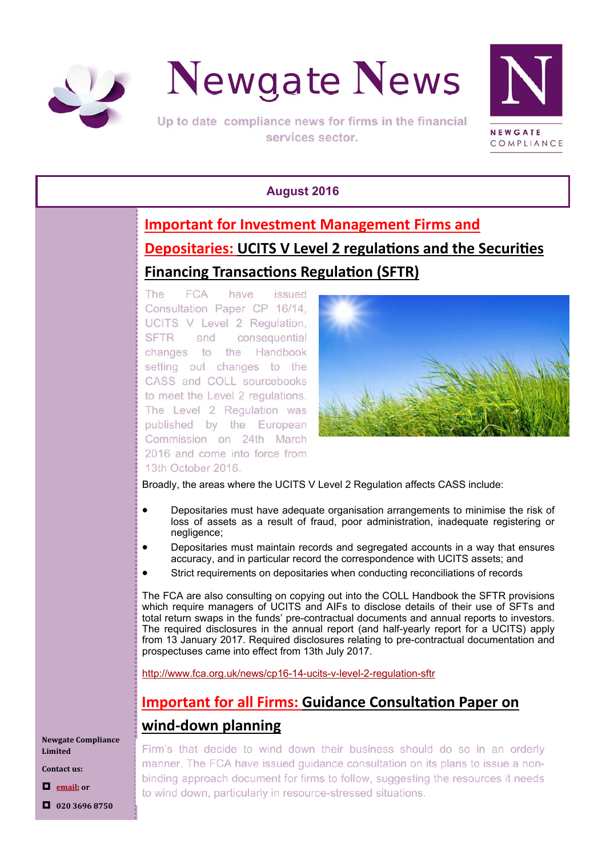



Up to date compliance news for firms in the financial services sector.



#### **August 2016**

# **Important for Investment Management Firms and Depositaries: UCITS V Level 2 regulations and the Securities Financing Transactions Regulation (SFTR)**

The **FCA** have issued Consultation Paper CP 16/14. UCITS V Level 2 Regulation. **SFTR** and consequential changes to the Handbook setting out changes to the CASS and COLL sourcebooks to meet the Level 2 regulations. The Level 2 Regulation was published by the European Commission on 24th March 2016 and come into force from 13th October 2016.



Broadly, the areas where the UCITS V Level 2 Regulation affects CASS include:

- Depositaries must have adequate organisation arrangements to minimise the risk of loss of assets as a result of fraud, poor administration, inadequate registering or negligence;
- Depositaries must maintain records and segregated accounts in a way that ensures accuracy, and in particular record the correspondence with UCITS assets; and
- Strict requirements on depositaries when conducting reconciliations of records

The FCA are also consulting on copying out into the COLL Handbook the SFTR provisions which require managers of UCITS and AIFs to disclose details of their use of SFTs and total return swaps in the funds' pre-contractual documents and annual reports to investors. The required disclosures in the annual report (and half-yearly report for a UCITS) apply from 13 January 2017. Required disclosures relating to pre-contractual documentation and prospectuses came into effect from 13th July 2017.

http://www.fca.org.uk/news/cp16-14-ucits-v-level-2-regulation-sftr

# **Important for all Firms: Guidance Consultation Paper on wind‐down planning**

**Newgate Compliance Limited**

**Contact us:**

**email; or**

**020 3696 8750**

Firm's that decide to wind down their business should do so in an orderly manner. The FCA have issued quidance consultation on its plans to issue a nonbinding approach document for firms to follow, suggesting the resources it needs to wind down, particularly in resource-stressed situations.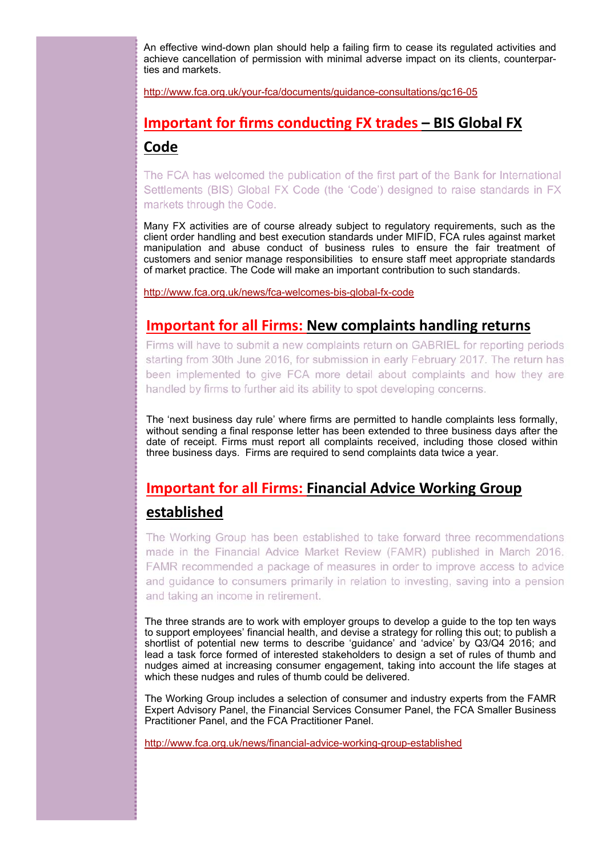An effective wind-down plan should help a failing firm to cease its regulated activities and achieve cancellation of permission with minimal adverse impact on its clients, counterparties and markets.

http://www.fca.org.uk/your-fca/documents/guidance-consultations/gc16-05

## **Important for firms conducting FX trades – BIS Global FX Code**

The FCA has welcomed the publication of the first part of the Bank for International Settlements (BIS) Global FX Code (the 'Code') designed to raise standards in FX markets through the Code.

Many FX activities are of course already subject to regulatory requirements, such as the client order handling and best execution standards under MIFID, FCA rules against market manipulation and abuse conduct of business rules to ensure the fair treatment of customers and senior manage responsibilities to ensure staff meet appropriate standards of market practice. The Code will make an important contribution to such standards.

http://www.fca.org.uk/news/fca-welcomes-bis-global-fx-code

#### **Important for all Firms: New complaints handling returns**

Firms will have to submit a new complaints return on GABRIEL for reporting periods starting from 30th June 2016, for submission in early February 2017. The return has been implemented to give FCA more detail about complaints and how they are handled by firms to further aid its ability to spot developing concerns.

The 'next business day rule' where firms are permitted to handle complaints less formally, without sending a final response letter has been extended to three business days after the date of receipt. Firms must report all complaints received, including those closed within three business days. Firms are required to send complaints data twice a year.

## **Important for all Firms: Financial Advice Working Group**

#### **established**

The Working Group has been established to take forward three recommendations made in the Financial Advice Market Review (FAMR) published in March 2016. FAMR recommended a package of measures in order to improve access to advice and guidance to consumers primarily in relation to investing, saving into a pension and taking an income in retirement.

The three strands are to work with employer groups to develop a guide to the top ten ways to support employees' financial health, and devise a strategy for rolling this out; to publish a shortlist of potential new terms to describe 'guidance' and 'advice' by Q3/Q4 2016; and lead a task force formed of interested stakeholders to design a set of rules of thumb and nudges aimed at increasing consumer engagement, taking into account the life stages at which these nudges and rules of thumb could be delivered.

The Working Group includes a selection of consumer and industry experts from the FAMR Expert Advisory Panel, the Financial Services Consumer Panel, the FCA Smaller Business Practitioner Panel, and the FCA Practitioner Panel.

http://www.fca.org.uk/news/financial-advice-working-group-established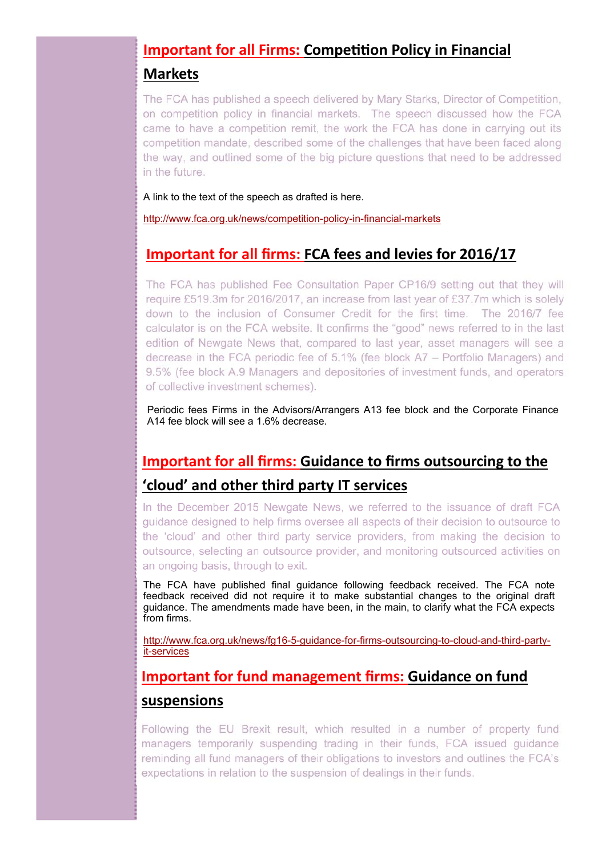## **Important for all Firms: Competition Policy in Financial**

#### **Markets**

The FCA has published a speech delivered by Mary Starks, Director of Competition, on competition policy in financial markets. The speech discussed how the FCA came to have a competition remit, the work the FCA has done in carrying out its competition mandate, described some of the challenges that have been faced along the way, and outlined some of the big picture questions that need to be addressed in the future.

A link to the text of the speech as drafted is here.

http://www.fca.org.uk/news/competition-policy-in-financial-markets

## **Important for all firms: FCA fees and levies for 2016/17**

The FCA has published Fee Consultation Paper CP16/9 setting out that they will require £519.3m for 2016/2017, an increase from last year of £37.7m which is solely down to the inclusion of Consumer Credit for the first time. The 2016/7 fee calculator is on the FCA website. It confirms the "good" news referred to in the last edition of Newgate News that, compared to last year, asset managers will see a decrease in the FCA periodic fee of 5.1% (fee block A7 – Portfolio Managers) and 9.5% (fee block A.9 Managers and depositories of investment funds, and operators of collective investment schemes).

Periodic fees Firms in the Advisors/Arrangers A13 fee block and the Corporate Finance A14 fee block will see a 1.6% decrease.

# **Important for all firms: Guidance to firms outsourcing to the 'cloud' and other third party IT services**

In the December 2015 Newgate News, we referred to the issuance of draft FCA quidance designed to help firms oversee all aspects of their decision to outsource to the 'cloud' and other third party service providers, from making the decision to outsource, selecting an outsource provider, and monitoring outsourced activities on an ongoing basis, through to exit.

The FCA have published final guidance following feedback received. The FCA note feedback received did not require it to make substantial changes to the original draft guidance. The amendments made have been, in the main, to clarify what the FCA expects from firms.

http://www.fca.org.uk/news/fg16-5-guidance-for-firms-outsourcing-to-cloud-and-third-partyit-services

## **Important for fund management firms: Guidance on fund suspensions**

Following the EU Brexit result, which resulted in a number of property fund managers temporarily suspending trading in their funds, FCA issued guidance reminding all fund managers of their obligations to investors and outlines the FCA's expectations in relation to the suspension of dealings in their funds.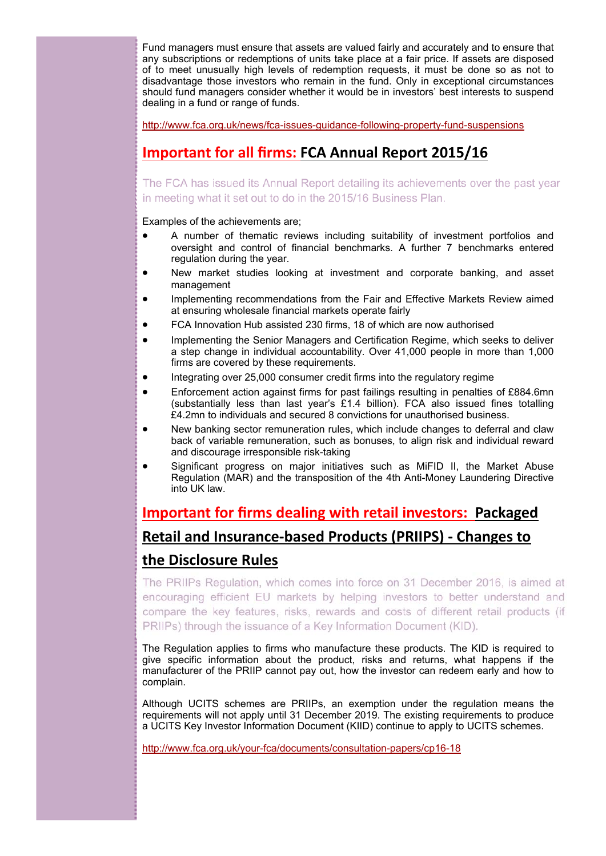Fund managers must ensure that assets are valued fairly and accurately and to ensure that any subscriptions or redemptions of units take place at a fair price. If assets are disposed of to meet unusually high levels of redemption requests, it must be done so as not to disadvantage those investors who remain in the fund. Only in exceptional circumstances should fund managers consider whether it would be in investors' best interests to suspend dealing in a fund or range of funds.

http://www.fca.org.uk/news/fca-issues-guidance-following-property-fund-suspensions

## **Important for all firms: FCA Annual Report 2015/16**

The FCA has issued its Annual Report detailing its achievements over the past year in meeting what it set out to do in the 2015/16 Business Plan.

Examples of the achievements are;

- A number of thematic reviews including suitability of investment portfolios and oversight and control of financial benchmarks. A further 7 benchmarks entered regulation during the year.
- New market studies looking at investment and corporate banking, and asset management
- Implementing recommendations from the Fair and Effective Markets Review aimed at ensuring wholesale financial markets operate fairly
- FCA Innovation Hub assisted 230 firms, 18 of which are now authorised
- Implementing the Senior Managers and Certification Regime, which seeks to deliver a step change in individual accountability. Over 41,000 people in more than 1,000 firms are covered by these requirements.
- Integrating over 25,000 consumer credit firms into the regulatory regime
- Enforcement action against firms for past failings resulting in penalties of £884.6mn (substantially less than last year's £1.4 billion). FCA also issued fines totalling £4.2mn to individuals and secured 8 convictions for unauthorised business.
- New banking sector remuneration rules, which include changes to deferral and claw back of variable remuneration, such as bonuses, to align risk and individual reward and discourage irresponsible risk-taking
- Significant progress on major initiatives such as MiFID II, the Market Abuse Regulation (MAR) and the transposition of the 4th Anti-Money Laundering Directive into UK law.

## **Important for firms dealing with retail investors: Packaged Retail and Insurance‐based Products (PRIIPS) ‐ Changes to**

### **the Disclosure Rules**

The PRIIPs Regulation, which comes into force on 31 December 2016, is aimed at encouraging efficient EU markets by helping investors to better understand and compare the key features, risks, rewards and costs of different retail products (if PRIIPs) through the issuance of a Key Information Document (KID).

The Regulation applies to firms who manufacture these products. The KID is required to give specific information about the product, risks and returns, what happens if the manufacturer of the PRIIP cannot pay out, how the investor can redeem early and how to complain.

Although UCITS schemes are PRIIPs, an exemption under the regulation means the requirements will not apply until 31 December 2019. The existing requirements to produce a UCITS Key Investor Information Document (KIID) continue to apply to UCITS schemes.

http://www.fca.org.uk/your-fca/documents/consultation-papers/cp16-18